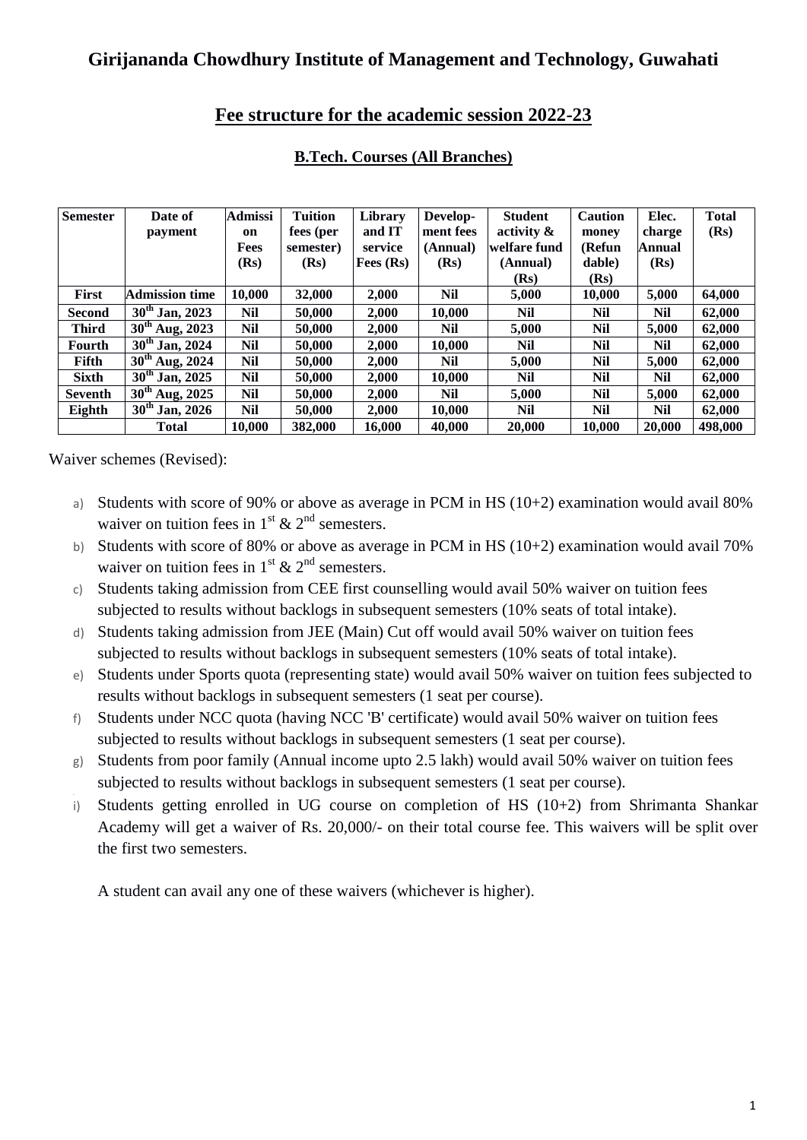# **Girijananda Chowdhury Institute of Management and Technology, Guwahati**

## **Fee structure for the academic session 2022-23**

| <b>Semester</b> | Date of<br>payment                   | <b>Admissi</b><br>on | <b>Tuition</b><br>fees (per | Library<br>and IT | Develop-<br>ment fees | <b>Student</b><br>activity $\&$ | <b>Caution</b><br>money | Elec.<br>charge | <b>Total</b><br>(Rs) |
|-----------------|--------------------------------------|----------------------|-----------------------------|-------------------|-----------------------|---------------------------------|-------------------------|-----------------|----------------------|
|                 |                                      | Fees                 | semester)                   | service           | (Annual)              | welfare fund                    | (Refun                  | Annual          |                      |
|                 |                                      | (Rs)                 | (Rs)                        | Fees $(Rs)$       | (Rs)                  | (Annual)                        | dable)                  | (Rs)            |                      |
|                 |                                      |                      |                             |                   |                       | (Rs)                            | (Rs)                    |                 |                      |
| <b>First</b>    | <b>Admission time</b>                | 10,000               | 32,000                      | 2,000             | Nil                   | 5,000                           | 10,000                  | 5,000           | 64,000               |
| <b>Second</b>   | $30^{th}$ Jan, 2023                  | Nil                  | 50,000                      | 2.000             | 10.000                | Nil                             | Nil                     | Nil             | 62,000               |
| <b>Third</b>    | $30^{\text{th}}$<br>Aug, $2023$      | Nil                  | 50,000                      | 2.000             | Nil                   | 5,000                           | Nil                     | 5,000           | 62,000               |
| Fourth          | 30 <sup>th</sup><br><b>Jan. 2024</b> | Nil                  | 50,000                      | 2,000             | 10.000                | Nil                             | <b>Nil</b>              | Nil             | 62,000               |
| Fifth           | $30^{th}$ Aug, 2024                  | Nil                  | 50,000                      | 2,000             | Nil                   | 5,000                           | Nil                     | 5,000           | 62,000               |
| <b>Sixth</b>    | 30 <sup>th</sup><br>Jan, 2025        | Nil                  | 50,000                      | 2.000             | 10.000                | Nil                             | Nil                     | Nil             | 62,000               |
| <b>Seventh</b>  | $30^{\text{th}}$<br>Aug, 2025        | Nil                  | 50,000                      | 2,000             | Nil                   | 5.000                           | Nil                     | 5,000           | 62,000               |
| Eighth          | 30 <sup>th</sup><br><b>Jan. 2026</b> | Nil                  | 50,000                      | 2,000             | 10.000                | Nil                             | Nil                     | Nil             | 62,000               |
|                 | Total                                | 10,000               | 382,000                     | 16,000            | 40,000                | 20,000                          | 10.000                  | 20,000          | 498,000              |

#### **B.Tech. Courses (All Branches)**

Waiver schemes (Revised):

- a) Students with score of 90% or above as average in PCM in HS (10+2) examination would avail 80% waiver on tuition fees in  $1<sup>st</sup>$  &  $2<sup>nd</sup>$  semesters.
- b) Students with score of 80% or above as average in PCM in HS (10+2) examination would avail 70% waiver on tuition fees in  $1<sup>st</sup> \& 2<sup>nd</sup>$  semesters.
- c) Students taking admission from CEE first counselling would avail 50% waiver on tuition fees subjected to results without backlogs in subsequent semesters (10% seats of total intake).
- d) Students taking admission from JEE (Main) Cut off would avail 50% waiver on tuition fees subjected to results without backlogs in subsequent semesters (10% seats of total intake).
- e) Students under Sports quota (representing state) would avail 50% waiver on tuition fees subjected to results without backlogs in subsequent semesters (1 seat per course).
- f) Students under NCC quota (having NCC 'B' certificate) would avail 50% waiver on tuition fees subjected to results without backlogs in subsequent semesters (1 seat per course).
- g) Students from poor family (Annual income upto 2.5 lakh) would avail 50% waiver on tuition fees subjected to results without backlogs in subsequent semesters (1 seat per course).
- i) Students getting enrolled in UG course on completion of HS (10+2) from Shrimanta Shankar Academy will get a waiver of Rs. 20,000/- on their total course fee. This waivers will be split over the first two semesters.

A student can avail any one of these waivers (whichever is higher).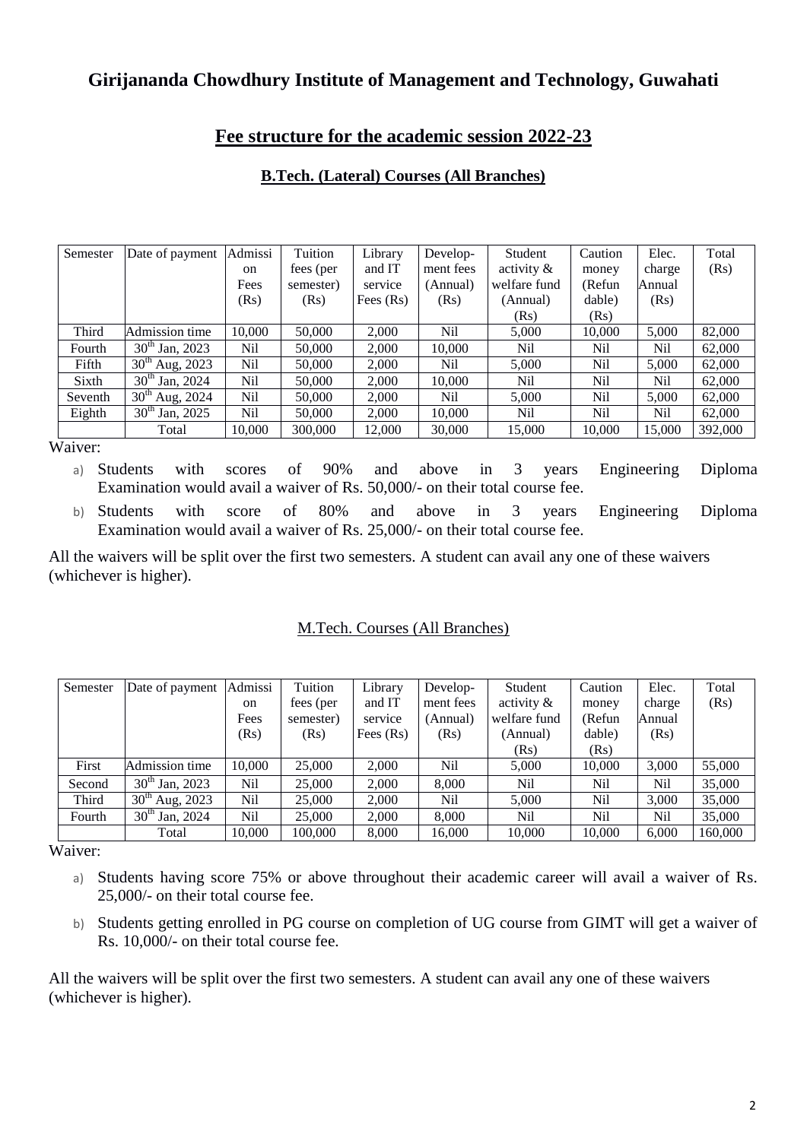# **Girijananda Chowdhury Institute of Management and Technology, Guwahati**

## **Fee structure for the academic session 2022-23**

#### **B.Tech. (Lateral) Courses (All Branches)**

| Semester | Date of payment     | Admissi         | Tuition   | Library     | Develop-  | Student       | Caution | Elec.      | Total   |
|----------|---------------------|-----------------|-----------|-------------|-----------|---------------|---------|------------|---------|
|          |                     | <sub>on</sub>   | fees (per | and IT      | ment fees | activity $\&$ | money   | charge     | (Rs)    |
|          |                     | Fees            | semester) | service     | (Annual)  | welfare fund  | (Refun  | Annual     |         |
|          |                     | (Rs)            | (Rs)      | Fees $(Rs)$ | (Rs)      | (Annual)      | dable)  | (Rs)       |         |
|          |                     |                 |           |             |           | (Rs)          | (Rs)    |            |         |
| Third    | Admission time      | 10,000          | 50,000    | 2.000       | Nil       | 5,000         | 10.000  | 5.000      | 82,000  |
| Fourth   | $30^{th}$ Jan, 2023 | N <sub>il</sub> | 50,000    | 2.000       | 10,000    | Nil           | Nil     | <b>Nil</b> | 62,000  |
| Fifth    | $30^{th}$ Aug, 2023 | N <sub>il</sub> | 50,000    | 2,000       | Nil       | 5,000         | Nil     | 5,000      | 62,000  |
| Sixth    | $30^{th}$ Jan, 2024 | <b>Nil</b>      | 50,000    | 2,000       | 10,000    | Nil           | Nil     | Nil        | 62,000  |
| Seventh  | $30^{th}$ Aug, 2024 | N <sub>il</sub> | 50,000    | 2.000       | Nil       | 5,000         | Nil     | 5.000      | 62,000  |
| Eighth   | $30^{th}$ Jan, 2025 | N <sub>il</sub> | 50,000    | 2.000       | 10,000    | Nil           | Nil     | Nil        | 62,000  |
|          | Total               | 10,000          | 300,000   | 12,000      | 30,000    | 15,000        | 10.000  | 15,000     | 392,000 |

Waiver:

a) Students with scores of 90% and above in 3 years Engineering Diploma Examination would avail a waiver of Rs. 50,000/- on their total course fee.

b) Students with score of 80% and above in 3 years Engineering Diploma Examination would avail a waiver of Rs. 25,000/- on their total course fee.

All the waivers will be split over the first two semesters. A student can avail any one of these waivers (whichever is higher).

#### M.Tech. Courses (All Branches)

| Semester | Date of payment               | Admissi       | Tuition   | Library     | Develop-  | Student       | Caution | Elec.  | Total   |
|----------|-------------------------------|---------------|-----------|-------------|-----------|---------------|---------|--------|---------|
|          |                               | <sub>on</sub> | fees (per | and IT      | ment fees | activity $\&$ | money   | charge | (Rs)    |
|          |                               | Fees          | semester) | service     | (Annual)  | welfare fund  | (Refun  | Annual |         |
|          |                               | (Rs)          | (Rs)      | Fees $(Rs)$ | (Rs)      | (Annual)      | dable)  | (Rs)   |         |
|          |                               |               |           |             |           | (Rs)          | (Rs)    |        |         |
| First    | Admission time                | 10,000        | 25,000    | 2,000       | Nil       | 5,000         | 10.000  | 3,000  | 55,000  |
| Second   | $\frac{1}{30^{th}}$ Jan, 2023 | Nil           | 25,000    | 2.000       | 8,000     | Nil           | Nil     | Nil    | 35,000  |
| Third    | $30^{th}$ Aug, 2023           | Nil           | 25,000    | 2,000       | Nil       | 5,000         | Nil     | 3,000  | 35,000  |
| Fourth   | $30th$ Jan, 2024              | Nil           | 25,000    | 2,000       | 8,000     | Nil           | Nil     | Nil    | 35,000  |
|          | Total                         | 10.000        | 100,000   | 8,000       | 16,000    | 10,000        | 10,000  | 6,000  | 160,000 |

Waiver:

- a) Students having score 75% or above throughout their academic career will avail a waiver of Rs. 25,000/- on their total course fee.
- b) Students getting enrolled in PG course on completion of UG course from GIMT will get a waiver of Rs. 10,000/- on their total course fee.

All the waivers will be split over the first two semesters. A student can avail any one of these waivers (whichever is higher).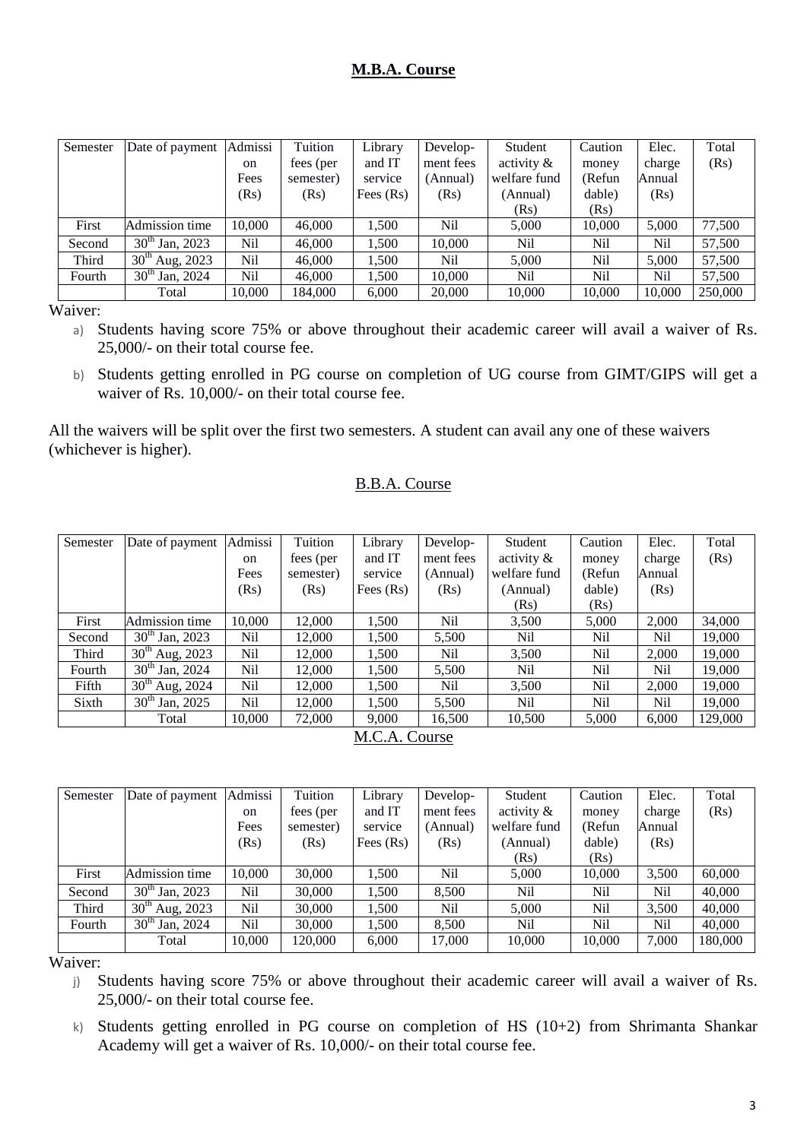# **M.B.A. Course**

| Semester | Date of payment     | Admissi         | Tuition   | Library     | Develop-  | Student       | Caution | Elec.  | Total   |
|----------|---------------------|-----------------|-----------|-------------|-----------|---------------|---------|--------|---------|
|          |                     | <sub>on</sub>   | fees (per | and IT      | ment fees | activity $\&$ | money   | charge | (Rs)    |
|          |                     | Fees            | semester) | service     | (Annual)  | welfare fund  | (Refun  | Annual |         |
|          |                     | (Rs)            | (Rs)      | Fees $(Rs)$ | (Rs)      | (Annual)      | dable)  | (Rs)   |         |
|          |                     |                 |           |             |           | (Rs)          | (Rs)    |        |         |
| First    | Admission time      | 10,000          | 46,000    | 1,500       | Nil       | 5,000         | 10.000  | 5.000  | 77,500  |
| Second   | $30^{th}$ Jan, 2023 | N <sub>il</sub> | 46,000    | 1.500       | 10,000    | Nil           | Nil     | Nil    | 57,500  |
| Third    | $30^{th}$ Aug, 2023 | N <sub>il</sub> | 46,000    | 1,500       | Nil       | 5.000         | Nil     | 5.000  | 57,500  |
| Fourth   | $30^{th}$ Jan, 2024 | N <sub>il</sub> | 46,000    | 1,500       | 10.000    | Nil           | Nil     | Nil    | 57,500  |
|          | Total               | 10,000          | 184.000   | 6.000       | 20,000    | 10.000        | 10.000  | 10.000 | 250,000 |

Waiver:

- a) Students having score 75% or above throughout their academic career will avail a waiver of Rs. 25,000/- on their total course fee.
- b) Students getting enrolled in PG course on completion of UG course from GIMT/GIPS will get a waiver of Rs. 10,000/- on their total course fee.

All the waivers will be split over the first two semesters. A student can avail any one of these waivers (whichever is higher).

#### B.B.A. Course

| Semester | Date of payment            | Admissi       | Tuition   | Library     | Develop-  | Student       | Caution | Elec.  | Total   |  |  |  |
|----------|----------------------------|---------------|-----------|-------------|-----------|---------------|---------|--------|---------|--|--|--|
|          |                            | <sub>on</sub> | fees (per | and IT      | ment fees | activity $\&$ | money   | charge | (Rs)    |  |  |  |
|          |                            | Fees          | semester) | service     | (Annual)  | welfare fund  | (Refun  | Annual |         |  |  |  |
|          |                            | (Rs)          | (Rs)      | Fees $(Rs)$ | (Rs)      | (Annual)      | dable)  | (Rs)   |         |  |  |  |
|          |                            |               |           |             |           | (Rs)          | (Rs)    |        |         |  |  |  |
| First    | Admission time             | 10,000        | 12,000    | 1,500       | Nil       | 3,500         | 5,000   | 2,000  | 34,000  |  |  |  |
| Second   | $30^{\text{th}}$ Jan, 2023 | Nil           | 12,000    | 1,500       | 5,500     | Nil           | Nil     | Nil    | 19,000  |  |  |  |
| Third    | $30^{th}$ Aug, 2023        | Nil           | 12,000    | 1,500       | Nil       | 3,500         | Nil     | 2,000  | 19,000  |  |  |  |
| Fourth   | $30^{th}$ Jan, 2024        | Nil           | 12,000    | 1,500       | 5,500     | Nil           | Nil     | Nil    | 19,000  |  |  |  |
| Fifth    | $30^{th}$ Aug, 2024        | Nil           | 12,000    | 1,500       | Nil       | 3,500         | Nil     | 2,000  | 19,000  |  |  |  |
| Sixth    | $30^{\text{th}}$ Jan, 2025 | Nil           | 12,000    | 1,500       | 5,500     | Nil           | Nil     | Nil    | 19,000  |  |  |  |
|          | Total                      | 10,000        | 72,000    | 9,000       | 16,500    | 10,500        | 5,000   | 6,000  | 129,000 |  |  |  |
|          | M.C.A. Course              |               |           |             |           |               |         |        |         |  |  |  |

| Semester | Date of payment            | Admissi | Tuition   | Library     | Develop-  | Student       | Caution | Elec.  | Total   |
|----------|----------------------------|---------|-----------|-------------|-----------|---------------|---------|--------|---------|
|          |                            | on      | fees (per | and IT      | ment fees | activity $\&$ | money   | charge | (Rs)    |
|          |                            | Fees    | semester) | service     | (Annual)  | welfare fund  | (Refun  | Annual |         |
|          |                            | (Rs)    | (Rs)      | Fees $(Rs)$ | (Rs)      | (Annual)      | dable)  | (Rs)   |         |
|          |                            |         |           |             |           | (Rs)          | (Rs)    |        |         |
| First    | Admission time             | 10,000  | 30,000    | 1,500       | Nil       | 5,000         | 10.000  | 3,500  | 60,000  |
| Second   | $30^{th}$ Jan, 2023        | Nil     | 30,000    | 1.500       | 8.500     | Nil           | Nil     | Nil    | 40,000  |
| Third    | $30^{th}$ Aug, 2023        | Nil     | 30,000    | 1,500       | Nil       | 5.000         | Nil     | 3.500  | 40,000  |
| Fourth   | $30^{\text{th}}$ Jan, 2024 | Nil     | 30,000    | 1,500       | 8,500     | Nil           | Nil     | Nil    | 40,000  |
|          | Total                      | 10,000  | 120,000   | 6.000       | 17,000    | 10,000        | 10.000  | 7.000  | 180,000 |

Waiver:

j) Students having score 75% or above throughout their academic career will avail a waiver of Rs. 25,000/- on their total course fee.

k) Students getting enrolled in PG course on completion of HS (10+2) from Shrimanta Shankar Academy will get a waiver of Rs. 10,000/- on their total course fee.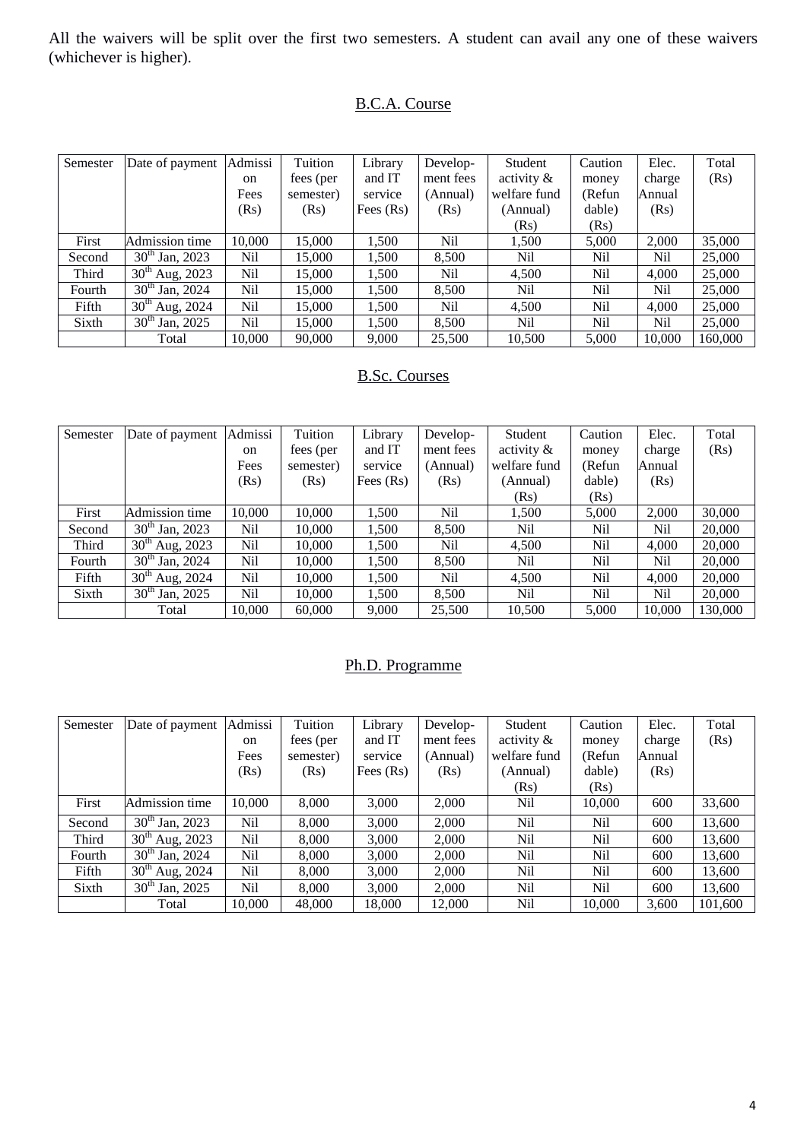All the waivers will be split over the first two semesters. A student can avail any one of these waivers (whichever is higher).

## B.C.A. Course

| Semester | Date of payment                | Admissi         | Tuition   | Library     | Develop-        | Student       | Caution | Elec.  | Total   |
|----------|--------------------------------|-----------------|-----------|-------------|-----------------|---------------|---------|--------|---------|
|          |                                | <sub>on</sub>   | fees (per | and IT      | ment fees       | activity $\&$ | money   | charge | (Rs)    |
|          |                                | Fees            | semester) | service     | (Annual)        | welfare fund  | (Refun  | Annual |         |
|          |                                | (Rs)            | (Rs)      | Fees $(Rs)$ | (Rs)            | (Annual)      | dable)  | (Rs)   |         |
|          |                                |                 |           |             |                 | (Rs)          | (Rs)    |        |         |
| First    | Admission time                 | 10,000          | 15,000    | 1,500       | Nil             | 1,500         | 5,000   | 2,000  | 35,000  |
| Second   | $30^{\text{th}}$ Jan, 2023     | Nil             | 15,000    | 1,500       | 8,500           | Nil           | Nil     | Nil    | 25,000  |
| Third    | $30^{th}$ Aug, 2023            | Nil             | 15,000    | 1,500       | Nil             | 4,500         | Nil     | 4.000  | 25,000  |
| Fourth   | $30^{th}$ Jan, 2024            | N <sub>il</sub> | 15,000    | 1,500       | 8,500           | Nil           | Nil     | Nil    | 25,000  |
| Fifth    | $30^{th}$ Aug, 2024            | Nil             | 15,000    | 1,500       | N <sub>il</sub> | 4,500         | Nil     | 4,000  | 25,000  |
| Sixth    | $\frac{30^{th}}{30}$ Jan, 2025 | Nil             | 15,000    | 1,500       | 8,500           | Nil           | Nil     | Nil    | 25,000  |
|          | Total                          | 10,000          | 90,000    | 9,000       | 25,500          | 10,500        | 5,000   | 10,000 | 160,000 |

## B.Sc. Courses

| Semester | Date of payment Admissi        |                 | Tuition   | Library     | Develop-  | Student       | Caution | Elec.  | Total   |
|----------|--------------------------------|-----------------|-----------|-------------|-----------|---------------|---------|--------|---------|
|          |                                | <sub>on</sub>   | fees (per | and IT      | ment fees | activity $\&$ | money   | charge | (Rs)    |
|          |                                | Fees            | semester) | service     | (Annual)  | welfare fund  | (Refun  | Annual |         |
|          |                                | (Rs)            | (Rs)      | Fees $(Rs)$ | (Rs)      | (Annual)      | dable)  | (Rs)   |         |
|          |                                |                 |           |             |           | (Rs)          | (Rs)    |        |         |
| First    | Admission time                 | 10,000          | 10.000    | 1,500       | Nil       | 1,500         | 5,000   | 2.000  | 30,000  |
| Second   | $30^{th}$ Jan, 2023            | N <sub>il</sub> | 10,000    | 1,500       | 8,500     | Nil           | Nil     | Nil    | 20,000  |
| Third    | $30^{th}$ Aug, 2023            | N <sub>il</sub> | 10,000    | 1,500       | Nil       | 4,500         | Nil     | 4,000  | 20,000  |
| Fourth   | $30^{th}$ Jan, 2024            | N <sub>il</sub> | 10,000    | 1,500       | 8,500     | Nil           | Nil     | Nil    | 20,000  |
| Fifth    | $30^{th}$ Aug, 2024            | Nil             | 10,000    | 1,500       | Nil       | 4,500         | Nil     | 4,000  | 20,000  |
| Sixth    | $\overline{30^{th}}$ Jan, 2025 | Nil             | 10,000    | 1,500       | 8,500     | Nil           | Nil     | Nil    | 20,000  |
|          | Total                          | 10,000          | 60,000    | 9,000       | 25,500    | 10,500        | 5,000   | 10,000 | 130,000 |

### Ph.D. Programme

| Semester | Date of payment                | Admissi         | Tuition   | Library     | Develop-  | Student       | Caution | Elec.  | Total   |
|----------|--------------------------------|-----------------|-----------|-------------|-----------|---------------|---------|--------|---------|
|          |                                | <sub>on</sub>   | fees (per | and IT      | ment fees | activity $\&$ | money   | charge | (Rs)    |
|          |                                | Fees            | semester) | service     | (Annual)  | welfare fund  | (Refun  | Annual |         |
|          |                                | (Rs)            | (Rs)      | Fees $(Rs)$ | (Rs)      | (Annual)      | dable)  | (Rs)   |         |
|          |                                |                 |           |             |           | (Rs)          | (Rs)    |        |         |
| First    | Admission time                 | 10,000          | 8,000     | 3,000       | 2,000     | Nil           | 10,000  | 600    | 33,600  |
| Second   | $\frac{1}{30^{th}}$ Jan, 2023  | Nil             | 8,000     | 3,000       | 2,000     | Nil           | Nil     | 600    | 13,600  |
| Third    | $30^{th}$ Aug, 2023            | Nil             | 8,000     | 3,000       | 2,000     | Nil           | Nil     | 600    | 13,600  |
| Fourth   | $\frac{30^{th}}{30}$ Jan, 2024 | N <sub>il</sub> | 8,000     | 3,000       | 2,000     | Nil           | Nil     | 600    | 13,600  |
| Fifth    | $30^{th}$ Aug, 2024            | N <sub>il</sub> | 8,000     | 3,000       | 2,000     | Nil           | Nil     | 600    | 13,600  |
| Sixth    | $30th$ Jan, 2025               | Nil             | 8,000     | 3,000       | 2,000     | Nil           | Nil     | 600    | 13,600  |
|          | Total                          | 10.000          | 48,000    | 18,000      | 12,000    | Nil           | 10,000  | 3,600  | 101,600 |